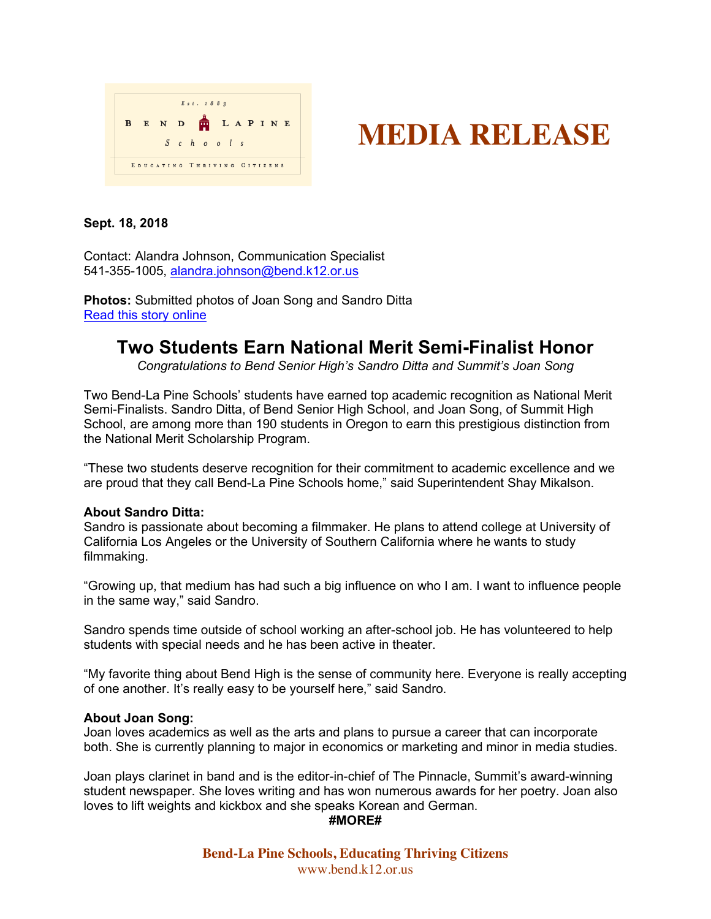



# **Sept. 18, 2018**

Contact: Alandra Johnson, Communication Specialist 541-355-1005, alandra.johnson@bend.k12.or.us

**Photos:** Submitted photos of Joan Song and Sandro Ditta Read this story online

# **Two Students Earn National Merit Semi-Finalist Honor**

*Congratulations to Bend Senior High's Sandro Ditta and Summit's Joan Song*

Two Bend-La Pine Schools' students have earned top academic recognition as National Merit Semi-Finalists. Sandro Ditta, of Bend Senior High School, and Joan Song, of Summit High School, are among more than 190 students in Oregon to earn this prestigious distinction from the National Merit Scholarship Program.

"These two students deserve recognition for their commitment to academic excellence and we are proud that they call Bend-La Pine Schools home," said Superintendent Shay Mikalson.

### **About Sandro Ditta:**

Sandro is passionate about becoming a filmmaker. He plans to attend college at University of California Los Angeles or the University of Southern California where he wants to study filmmaking.

"Growing up, that medium has had such a big influence on who I am. I want to influence people in the same way," said Sandro.

Sandro spends time outside of school working an after-school job. He has volunteered to help students with special needs and he has been active in theater.

"My favorite thing about Bend High is the sense of community here. Everyone is really accepting of one another. It's really easy to be yourself here," said Sandro.

### **About Joan Song:**

Joan loves academics as well as the arts and plans to pursue a career that can incorporate both. She is currently planning to major in economics or marketing and minor in media studies.

Joan plays clarinet in band and is the editor-in-chief of The Pinnacle, Summit's award-winning student newspaper. She loves writing and has won numerous awards for her poetry. Joan also loves to lift weights and kickbox and she speaks Korean and German.

#### **#MORE#**

**Bend-La Pine Schools, Educating Thriving Citizens** www.bend.k12.or.us